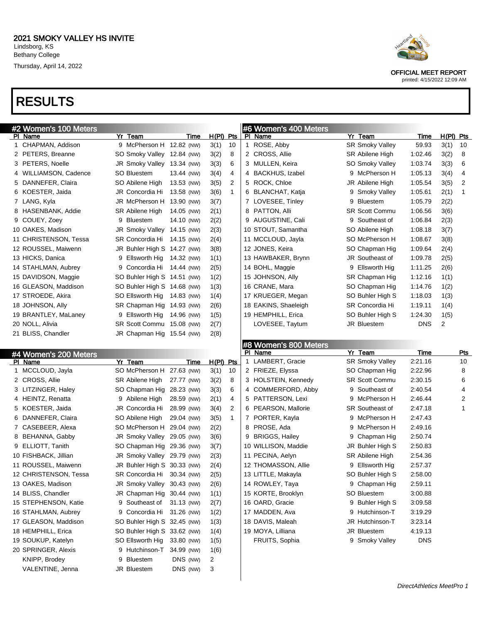# RESULTS

| #2 Women's 100 Meters       |                                      |             |                     |              | #6 Women's 400 Meters            |   |                        |             |             |                         |
|-----------------------------|--------------------------------------|-------------|---------------------|--------------|----------------------------------|---|------------------------|-------------|-------------|-------------------------|
| PI Name                     | Yr Team                              | Time        | $H(PI)$ Pts         |              | PI Name                          |   | Yr Team                | <u>Time</u> | $H(PI)$ Pts |                         |
| 1 CHAPMAN, Addison          | 9 McPherson H 12.82 (NW)             |             | 3(1)                | 10           | 1 ROSE, Abby                     |   | <b>SR Smoky Valley</b> | 59.93       | 3(1)        | 10                      |
| 2 PETERS, Breanne           | SO Smoky Valley 12.84 (NW)           |             | 3(2)                | 8            | 2 CROSS, Allie                   |   | SR Abilene High        | 1:02.46     | 3(2)        | 8                       |
| 3 PETERS, Noelle            | JR Smoky Valley 13.34 (NW)           |             | 3(3)                | 6            | 3 MULLEN, Keira                  |   | SO Smoky Valley        | 1:03.74     | 3(3)        | 6                       |
| 4 WILLIAMSON, Cadence       | SO Bluestem                          | 13.44 (NW)  | 3(4)                | 4            | 4 BACKHUS, Izabel                |   | 9 McPherson H          | 1:05.13     | 3(4)        | $\overline{\mathbf{4}}$ |
| 5 DANNEFER, Claira          | SO Abilene High                      | 13.53 (NW)  | 3(5)                | 2            | 5 ROCK, Chloe                    |   | JR Abilene High        | 1:05.54     | 3(5)        | $\overline{2}$          |
| 6 KOESTER, Jaida            | JR Concordia Hi                      | 13.58 (NW)  | 3(6)                | $\mathbf{1}$ | 6 BLANCHAT, Katja                |   | 9 Smoky Valley         | 1:05.61     | 2(1)        | 1                       |
| 7 LANG, Kyla                | JR McPherson H 13.90 (NW)            |             | 3(7)                |              | 7 LOVESEE, Tinley                | 9 | Bluestem               | 1:05.79     | 2(2)        |                         |
| 8 HASENBANK, Addie          | SR Abilene High                      | 14.05 (NW)  | 2(1)                |              | 8 PATTON, Alli                   |   | <b>SR Scott Commu</b>  | 1:06.56     | 3(6)        |                         |
| 9 COUEY, Zoey               | 9 Bluestem                           | 14.10 (NW)  | 2(2)                |              | 9 AUGUSTINE, Cali                |   | 9 Southeast of         | 1:06.84     | 2(3)        |                         |
| 10 OAKES, Madison           | JR Smoky Valley 14.15 (NW)           |             | 2(3)                |              | 10 STOUT, Samantha               |   | SO Abilene High        | 1:08.18     | 3(7)        |                         |
| 11 CHRISTENSON, Tessa       | SR Concordia Hi                      | 14.15 (NW)  | 2(4)                |              | 11 MCCLOUD, Jayla                |   | SO McPherson H         | 1:08.67     | 3(8)        |                         |
| 12 ROUSSEL, Maiwenn         | JR Buhler High S 14.27 (NW)          |             | 3(8)                |              | 12 JONES, Keira                  |   | SO Chapman Hig         | 1:09.64     | 2(4)        |                         |
| 13 HICKS, Danica            | 9 Ellsworth Hig                      | 14.32 (NW)  | 1(1)                |              | 13 HAWBAKER, Brynn               |   | JR Southeast of        | 1:09.78     | 2(5)        |                         |
| 14 STAHLMAN, Aubrey         | 9 Concordia Hi                       | 14.44 (NW)  | 2(5)                |              | 14 BOHL, Maggie                  |   | 9 Ellsworth Hig        | 1:11.25     | 2(6)        |                         |
| 15 DAVIDSON, Maggie         | SO Buhler High S 14.51 (NW)          |             | 1(2)                |              | 15 JOHNSON, Ally                 |   | SR Chapman Hig         | 1:12.16     | 1(1)        |                         |
| 16 GLEASON, Maddison        | SO Buhler High S 14.68 (NW)          |             | 1(3)                |              | 16 CRANE, Mara                   |   | SO Chapman Hig         | 1:14.76     | 1(2)        |                         |
| 17 STROEDE, Akira           | SO Ellsworth Hig                     | 14.83 (NW)  | 1(4)                |              | 17 KRUEGER, Megan                |   | SO Buhler High S       | 1:18.03     | 1(3)        |                         |
| 18 JOHNSON, Ally            | SR Chapman Hig 14.93 (NW)            |             | 2(6)                |              | 18 EAKINS, Shaeleigh             |   | SR Concordia Hi        | 1:19.11     | 1(4)        |                         |
| 19 BRANTLEY, MaLaney        | 9 Ellsworth Hig                      | 14.96 (NW)  | 1(5)                |              | 19 HEMPHILL, Erica               |   | SO Buhler High S       | 1:24.30     | 1(5)        |                         |
| 20 NOLL, Alivia             | SR Scott Commu 15.08 (NW)            |             | 2(7)                |              | LOVESEE, Taytum                  |   | JR Bluestem            | <b>DNS</b>  | 2           |                         |
| 21 BLISS, Chandler          | JR Chapman Hig 15.54 (NW)            |             | 2(8)                |              |                                  |   |                        |             |             |                         |
|                             |                                      |             |                     |              |                                  |   |                        |             |             |                         |
|                             |                                      |             |                     |              | #8 Women's 800 Meters<br>PI Name |   | Yr Team                | Time        |             | <u>Pts</u>              |
| #4 Women's 200 Meters       |                                      |             |                     |              | 1 LAMBERT, Gracie                |   | <b>SR Smoky Valley</b> | 2:21.16     |             | 10                      |
| PI Name<br>1 MCCLOUD, Jayla | Yr Team<br>SO McPherson H 27.63 (NW) | <b>Time</b> | $H(PI)$ Pts<br>3(1) | 10           | 2 FRIEZE, Elyssa                 |   | SO Chapman Hig         | 2:22.96     |             | 8                       |
| 2 CROSS, Allie              | SR Abilene High                      | 27.77 (NW)  | 3(2)                | 8            | 3 HOLSTEIN, Kennedy              |   | <b>SR Scott Commu</b>  | 2:30.15     |             | 6                       |
| 3 LITZINGER, Haley          | SO Chapman Hig 28.23 (NW)            |             | 3(3)                | 6            | 4 COMMERFORD, Abby               |   | 9 Southeast of         | 2:40.54     |             | 4                       |
|                             |                                      |             |                     | 4            |                                  |   | 9 McPherson H          |             |             | 2                       |
| 4 HEINTZ, Renatta           | 9 Abilene High                       | 28.59 (NW)  | 2(1)                | 2            | 5 PATTERSON, Lexi                |   |                        | 2:46.44     |             | 1                       |
| 5 KOESTER, Jaida            | JR Concordia Hi                      | 28.99 (NW)  | 3(4)                |              | 6 PEARSON, Mallorie              |   | <b>SR</b> Southeast of | 2:47.18     |             |                         |
| 6 DANNEFER, Claira          | SO Abilene High                      | 29.04 (NW)  | 3(5)                | 1            | 7 PORTER, Kayla                  |   | 9 McPherson H          | 2:47.43     |             |                         |
| 7 CASEBEER, Alexa           | SO McPherson H 29.04 (NW)            |             | 2(2)                |              | 8 PROSE, Ada                     |   | 9 McPherson H          | 2:49.16     |             |                         |
| 8 BEHANNA, Gabby            | JR Smoky Valley 29.05 (NW)           |             | 3(6)                |              | 9 BRIGGS, Hailey                 | 9 | Chapman Hig            | 2:50.74     |             |                         |
| 9 ELLIOTT, Tanith           | SO Chapman Hig 29.36 (NW)            |             | 3(7)                |              | 10 WILLISON, Maddie              |   | JR Buhler High S       | 2:50.83     |             |                         |
| 10 FISHBACK, Jillian        | JR Smoky Valley 29.79 (NW)           |             | 2(3)                |              | 11 PECINA, Aelyn                 |   | SR Abilene High        | 2:54.36     |             |                         |
| 11 ROUSSEL, Maiwenn         | JR Buhler High S 30.33 (NW)          |             | 2(4)                |              | 12 THOMASSON, Allie              |   | 9 Ellsworth Hig        | 2:57.37     |             |                         |
| 12 CHRISTENSON, Tessa       | SR Concordia Hi                      | 30.34 (NW)  | 2(5)                |              | 13 LITTLE, Makayla               |   | SO Buhler High S       | 2:58.00     |             |                         |
| 13 OAKES, Madison           | JR Smoky Valley 30.43 (NW)           |             | 2(6)                |              | 14 ROWLEY, Taya                  |   | 9 Chapman Hig          | 2:59.11     |             |                         |
| 14 BLISS, Chandler          | JR Chapman Hig 30.44 (NW)            |             | 1(1)                |              | 15 KORTE, Brooklyn               |   | SO Bluestem            | 3:00.88     |             |                         |
| 15 STEPHENSON, Katie        | 9 Southeast of                       | 31.13 (NW)  | 2(7)                |              | 16 OARD, Gracie                  |   | 9 Buhler High S        | 3:09.58     |             |                         |
| 16 STAHLMAN, Aubrey         | 9 Concordia Hi                       | 31.26 (NW)  | 1(2)                |              | 17 MADDEN, Ava                   |   | 9 Hutchinson-T         | 3:19.29     |             |                         |
| 17 GLEASON, Maddison        | SO Buhler High S 32.45 (NW)          |             | 1(3)                |              | 18 DAVIS, Maleah                 |   | JR Hutchinson-T        | 3:23.14     |             |                         |
| 18 HEMPHILL, Erica          | SO Buhler High S 33.62 (NW)          |             | 1(4)                |              | 19 MOYA, Lilliana                |   | JR Bluestem            | 4:19.13     |             |                         |
| 19 SOUKUP, Katelyn          | SO Ellsworth Hig                     | 33.80 (NW)  | 1(5)                |              | FRUITS, Sophia                   |   | 9 Smoky Valley         | <b>DNS</b>  |             |                         |
| 20 SPRINGER, Alexis         | 9 Hutchinson-T                       | 34.99 (NW)  | 1(6)                |              |                                  |   |                        |             |             |                         |
| KNIPP, Brodey               | 9 Bluestem                           | DNS (NW)    | 2                   |              |                                  |   |                        |             |             |                         |
| VALENTINE, Jenna            | JR Bluestem                          | DNS (NW)    | 3                   |              |                                  |   |                        |             |             |                         |
|                             |                                      |             |                     |              |                                  |   |                        |             |             |                         |



OFFICIAL MEET REPORT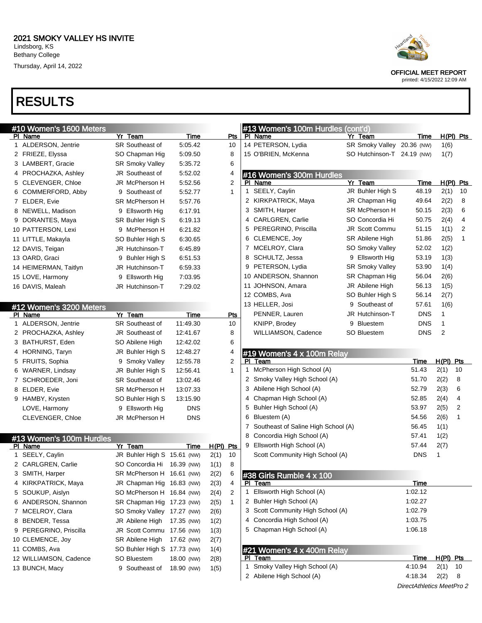#10 Women's 1600 Meters

PI Name Yr Team 1 ALDERSON, Jentrie SR Southeast of 2 FRIEZE, Elyssa SO Chapman Hig 3 LAMBERT, Gracie SR Smoky Valley 4 PROCHAZKA, Ashley JR Southeast of 5 CLEVENGER, Chloe JR McPherson H 6 COMMERFORD, Abby 9 Southeast of

#### RESULTS

|                        | Pts          |    | #13 Women's 100m Hurdles (cont'd)     |                                       |               |             |             |
|------------------------|--------------|----|---------------------------------------|---------------------------------------|---------------|-------------|-------------|
| <b>Time</b><br>5:05.42 | 10           |    | PI Name<br>14 PETERSON, Lydia         | Yr Team<br>SR Smoky Valley 20.36 (NW) | Time          |             | $H(PI)$ Pts |
|                        |              |    |                                       |                                       |               | 1(6)        |             |
| 5:09.50                | 8            |    | 15 O'BRIEN, McKenna                   | SO Hutchinson-T 24.19 (NW)            |               | 1(7)        |             |
| 5:35.72                | 6            |    |                                       |                                       |               |             |             |
| 5:52.02                | 4            |    | #16 Women's 300m Hurdles              |                                       |               |             |             |
| 5:52.56                | 2            | ΡI | Name                                  | Yr Team                               | Time<br>48.19 | $H(PI)$ Pts |             |
| 5:52.77                | 1            | 1. | SEELY, Caylin                         | JR Buhler High S                      |               | 2(1)        | 10          |
| 5:57.76                |              |    | 2 KIRKPATRICK, Maya                   | JR Chapman Hig                        | 49.64         | 2(2)        | 8           |
| 6:17.91                |              | 3  | SMITH, Harper                         | SR McPherson H                        | 50.15         | 2(3)        | 6           |
| 6:19.13                |              |    | 4 CARLGREN, Carlie                    | SO Concordia Hi                       | 50.75         | 2(4)        | 4           |
| 6:21.82                |              |    | 5 PEREGRINO, Priscilla                | <b>JR Scott Commu</b>                 | 51.15         | 1(1)        | 2           |
| 6:30.65                |              |    | 6 CLEMENCE, Joy                       | SR Abilene High                       | 51.86         | 2(5)        | 1           |
| 6:45.89                |              |    | 7 MCELROY, Clara                      | SO Smoky Valley                       | 52.02         | 1(2)        |             |
| 6:51.53                |              |    | 8 SCHULTZ, Jessa                      | 9 Ellsworth Hig                       | 53.19         | 1(3)        |             |
| 6:59.33                |              |    | 9 PETERSON, Lydia                     | <b>SR Smoky Valley</b>                | 53.90         | 1(4)        |             |
| 7:03.95                |              |    | 10 ANDERSON, Shannon                  | SR Chapman Hig                        | 56.04         | 2(6)        |             |
| 7:29.02                |              |    | 11 JOHNSON, Amara                     | JR Abilene High                       | 56.13         | 1(5)        |             |
|                        |              |    | 12 COMBS, Ava                         | SO Buhler High S                      | 56.14         | 2(7)        |             |
|                        |              |    | 13 HELLER, Josi                       | 9 Southeast of                        | 57.61         | 1(6)        |             |
| <u>Time</u>            | Pts          |    | PENNER, Lauren                        | JR Hutchinson-T                       | <b>DNS</b>    | 1           |             |
| 1:49.30                | 10           |    | KNIPP, Brodey                         | 9 Bluestem                            | <b>DNS</b>    | 1           |             |
| 2:41.67                | 8            |    | WILLIAMSON, Cadence                   | SO Bluestem                           | <b>DNS</b>    | 2           |             |
| 2:42.02                | 6            |    |                                       |                                       |               |             |             |
| 2:48.27                | 4            |    | #19 Women's 4 x 100m Relay            |                                       |               |             |             |
| 2:55.78                | 2            | PI | <u>Team</u>                           |                                       | Time          | H(PI) Pts   |             |
| 2:56.41                | $\mathbf{1}$ | 1  | McPherson High School (A)             |                                       | 51.43         | 2(1)        | 10          |
| 3:02.46                |              | 2  | Smoky Valley High School (A)          |                                       | 51.70         | 2(2)        | 8           |
| 3:07.33                |              |    | 3 Abilene High School (A)             |                                       | 52.79         | 2(3)        | 6           |
| 3:15.90                |              | 4  | Chapman High School (A)               |                                       | 52.85         | 2(4)        | 4           |
| <b>DNS</b>             |              |    | 5 Buhler High School (A)              |                                       | 53.97         | 2(5)        | 2           |
| <b>DNS</b>             |              | 6  | Bluestem (A)                          |                                       | 54.56         | 2(6)        | 1           |
|                        |              |    | 7 Southeast of Saline High School (A) |                                       | 56.45         | 1(1)        |             |
|                        |              | 8  | Concordia High School (A)             |                                       | 57.41         | 1(2)        |             |
| Time                   | H(PI) Pts    | 9  | Ellsworth High School (A)             |                                       | 57.44         | 2(7)        |             |
| 31 (NW)                | 2(1)<br>10   |    | Scott Community High School (A)       |                                       | <b>DNS</b>    | 1           |             |
| 39 (NW)                | 1(1)<br>8    |    |                                       |                                       |               |             |             |
| 31 (NW)                | 2(2)<br>6    |    | #38 Girls Rumble 4 x 100              |                                       |               |             |             |
| 33 (NW)                | 2(3)<br>4    |    | <b>PI Team</b>                        |                                       | <b>Time</b>   |             |             |
| 34 (NW)                | 2<br>2(4)    | 1  | Ellsworth High School (A)             |                                       | 1:02.12       |             |             |
| 23 (NW)                | 1<br>2(5)    | 2  | Buhler High School (A)                |                                       | 1:02.27       |             |             |
| 27 (NW)                | 2(6)         | 3  | Scott Community High School (A)       |                                       | 1:02.79       |             |             |
| 35 (NW)                | 1(2)         | 4  | Concordia High School (A)             |                                       | 1:03.75       |             |             |
| 56 (NW)                | 1(3)         | 5  | Chapman High School (A)               |                                       | 1:06.18       |             |             |
| 62 (NW)                | 2(7)         |    |                                       |                                       |               |             |             |
| 73 (NW)                | 1(4)         |    | #21 Women's 4 x 400m Relay            |                                       |               |             |             |
| 00 (NW)                | 2(8)         |    | PI Team                               |                                       | <u>Time</u>   | $H(PI)$ Pts |             |
| 90 (NW)                | 1(5)         | 1  | Smoky Valley High School (A)          |                                       | 4:10.94       | 2(1)        | 10          |
|                        |              |    | 2 Abilene High School (A)             |                                       | 4:18.34       | 2(2)        | 8           |

#### 7 ELDER, Evie SR McPherson H 8 NEWELL, Madison 9 Ellsworth Hig 9 DORANTES, Maya SR Buhler High S 10 PATTERSON, Lexi 9 McPherson H 11 LITTLE, Makayla SO Buhler High S 12 DAVIS, Teigan JR Hutchinson-T 13 OARD, Graci 9 Buhler High S 14 HEIMERMAN, Taitlyn JR Hutchinson-T 15 LOVE, Harmony 9 Ellsworth Hig 16 DAVIS, Maleah JR Hutchinson-T #12 Women's 3200 Meters PI Name Yr Team 1 ALDERSON, Jentrie SR Southeast of 1 2 PROCHAZKA, Ashley JR Southeast of 1 3 BATHURST, Eden SO Abilene High 1 4 HORNING, Taryn JR Buhler High S 1 5 FRUITS, Sophia 9 Smoky Valley 12 6 WARNER, Lindsay **JR Buhler High S** 1 7 SCHROEDER, Joni SR Southeast of 1 8 ELDER, Evie SR McPherson H 1 9 HAMBY, Krysten SO Buhler High S 13 LOVE, Harmony 9 Ellsworth Hig CLEVENGER, Chloe JR McPherson H #13 Women's 100m Hurdles<br>Pl Name Yr Team 1 SEELY, Caylin JR Buhler High S 15.6

| <b>VLLLI, VUYIIII</b>  | $0.11$ Darnor ingthered 10.01 (1999) |            | $-11$ | ., |
|------------------------|--------------------------------------|------------|-------|----|
| 2 CARLGREN, Carlie     | SO Concordia Hi 16.39 (NW)           |            | 1(1)  | 8  |
| 3 SMITH, Harper        | SR McPherson H 16.61 (NW)            |            | 2(2)  | 6  |
| 4 KIRKPATRICK, Maya    | JR Chapman Hig 16.83 (NW)            |            | 2(3)  | 4  |
| 5 SOUKUP, Aislyn       | SO McPherson H 16.84 (NW)            |            | 2(4)  | 2  |
| 6 ANDERSON, Shannon    | SR Chapman Hig 17.23 (NW)            |            | 2(5)  | 1  |
| 7 MCELROY, Clara       | SO Smoky Valley 17.27 (NW)           |            | 2(6)  |    |
| 8 BENDER, Tessa        | JR Abilene High 17.35 (NW)           |            | 1(2)  |    |
| 9 PEREGRINO, Priscilla | JR Scott Commu 17.56 (NW)            |            | 1(3)  |    |
| 10 CLEMENCE, Joy       | <b>SR Abilene High</b>               | 17.62 (NW) | 2(7)  |    |
| 11 COMBS, Ava          | SO Buhler High S                     | 17.73 (NW) | 1(4)  |    |
| 12 WILLIAMSON, Cadence | SO Bluestem                          | 18.00 (NW) | 2(8)  |    |
| 13 BUNCH, Macy         | 9 Southeast of                       | 18.90 (NW) | 1(5)  |    |
|                        |                                      |            |       |    |



OFFICIAL MEET REPORT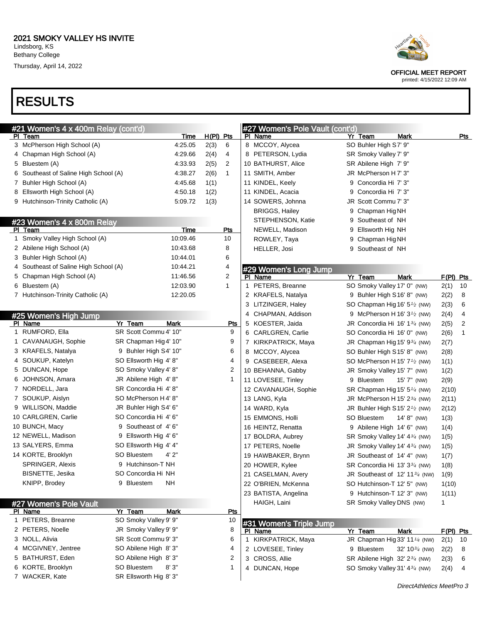# RESULTS

| Heartland                   |
|-----------------------------|
| <b>OFFICIAL MEET REPORT</b> |

printed: 4/15/2022 12:09 AM

|    | #21 Women's 4 x 400m Relay (cont'd) |                         |             |              |              | #27 Women's Pole Vault (cont'd) |                                                       |                            |             |            |
|----|-------------------------------------|-------------------------|-------------|--------------|--------------|---------------------------------|-------------------------------------------------------|----------------------------|-------------|------------|
|    | PI Team                             | <u>Time</u>             | $H(PI)$ Pts |              |              | PI Name                         | Yr Team                                               | Mark                       |             | <u>Pts</u> |
|    | 3 McPherson High School (A)         | 4:25.05                 | 2(3)        | 6            |              | 8 MCCOY, Alycea                 | SO Buhler High S7' 9"                                 |                            |             |            |
|    | 4 Chapman High School (A)           | 4:29.66                 | 2(4)        | 4            |              | 8 PETERSON, Lydia               | SR Smoky Valley 7' 9"                                 |                            |             |            |
| 5  | Bluestem (A)                        | 4:33.93                 | 2(5)        | 2            |              | 10 BATHURST, Alice              | SR Abilene High 7' 9"                                 |                            |             |            |
| 6  | Southeast of Saline High School (A) | 4:38.27                 | 2(6)        | $\mathbf{1}$ |              | 11 SMITH, Amber                 | JR McPherson H7' 3"                                   |                            |             |            |
| 7. | Buhler High School (A)              | 4:45.68                 | 1(1)        |              |              | 11 KINDEL, Keely                | 9 Concordia Hi 7' 3"                                  |                            |             |            |
| 8  | Ellsworth High School (A)           | 4:50.18                 | 1(2)        |              |              | 11 KINDEL, Acacia               | 9 Concordia Hi 7' 3"                                  |                            |             |            |
|    | 9 Hutchinson-Trinity Catholic (A)   | 5:09.72                 | 1(3)        |              |              | 14 SOWERS, Johnna               | JR Scott Commu 7' 3"                                  |                            |             |            |
|    |                                     |                         |             |              |              | <b>BRIGGS, Hailey</b>           | 9 Chapman Hig NH                                      |                            |             |            |
|    | #23 Women's 4 x 800m Relay          |                         |             |              |              | STEPHENSON, Katie               | 9 Southeast of NH                                     |                            |             |            |
|    | PI Team                             | Time                    |             | <b>Pts</b>   |              | NEWELL, Madison                 | 9 Ellsworth Hig NH                                    |                            |             |            |
|    | 1 Smoky Valley High School (A)      | 10:09.46                |             | 10           |              | ROWLEY, Taya                    | 9 Chapman Hig NH                                      |                            |             |            |
|    | 2 Abilene High School (A)           | 10:43.68                |             | 8            |              | HELLER, Josi                    | 9 Southeast of NH                                     |                            |             |            |
|    | 3 Buhler High School (A)            | 10:44.01                |             | 6            |              |                                 |                                                       |                            |             |            |
| 4  | Southeast of Saline High School (A) | 10:44.21                |             | 4            |              | #29 Women's Long Jump           |                                                       |                            |             |            |
| 5. | Chapman High School (A)             | 11:46.56                |             | 2            |              | PI Name                         | Yr Team                                               | <b>Mark</b>                | $F(PI)$ Pts |            |
|    | 6 Bluestem (A)                      | 12:03.90                |             | $\mathbf{1}$ | 1            | PETERS, Breanne                 | SO Smoky Valley 17' 0" (NW)                           |                            | 2(1)        | 10         |
|    | 7 Hutchinson-Trinity Catholic (A)   | 12:20.05                |             |              |              | 2 KRAFELS, Natalya              | 9 Buhler High S16' 8" (NW)                            |                            | 2(2)        | 8          |
|    |                                     |                         |             |              |              | 3 LITZINGER, Haley              | SO Chapman Hig 16' 5 <sup>1</sup> / <sub>2</sub> (NW) |                            | 2(3)        | 6          |
|    | #25 Women's High Jump               |                         |             |              |              | 4 CHAPMAN, Addison              | 9 McPherson H 16' $3\frac{1}{2}$ (NW)                 |                            | 2(4)        | 4          |
|    | PI Name                             | Yr Team<br><b>Mark</b>  |             | Pts          |              | 5 KOESTER, Jaida                | JR Concordia Hi 16' 1 <sup>34</sup> (NW)              |                            | 2(5)        | 2          |
|    | 1 RUMFORD, Ella                     | SR Scott Commu 4' 10"   |             | 9            |              | 6 CARLGREN, Carlie              | SO Concordia Hi 16' 0" (NW)                           |                            | 2(6)        | 1          |
| 1  | CAVANAUGH, Sophie                   | SR Chapman Hig 4' 10"   |             | 9            |              | 7 KIRKPATRICK, Maya             | JR Chapman Hig 15' 9 <sup>3/4</sup> (NW)              |                            | 2(7)        |            |
|    | 3 KRAFELS, Natalya                  | 9 Buhler High S4' 10"   |             | 6            |              | 8 MCCOY, Alycea                 | SO Buhler High S15' 8" (NW)                           |                            | 2(8)        |            |
|    | 4 SOUKUP, Katelyn                   | SO Ellsworth Hig 4' 8"  |             | 4            |              | 9 CASEBEER, Alexa               | SO McPherson H 15' $7\frac{1}{2}$ (NW)                |                            | 1(1)        |            |
|    | 5 DUNCAN, Hope                      | SO Smoky Valley 4' 8"   |             | 2            |              | 10 BEHANNA, Gabby               | JR Smoky Valley 15' 7" (NW)                           |                            | 1(2)        |            |
| 6  | JOHNSON, Amara                      | JR Abilene High 4' 8"   |             | 1            |              | 11 LOVESEE, Tinley              | 9 Bluestem                                            | 15' 7" (NW)                | 2(9)        |            |
|    | 7 NORDELL, Jara                     | SR Concordia Hi 4'8"    |             |              |              | 12 CAVANAUGH, Sophie            | SR Chapman Hig 15' $5\frac{1}{4}$ (NW)                |                            | 2(10)       |            |
|    | 7 SOUKUP, Aislyn                    | SO McPherson H4' 8"     |             |              |              | 13 LANG, Kyla                   | JR McPherson H 15' $2\frac{3}{4}$ (NW)                |                            | 2(11)       |            |
| 9  | WILLISON, Maddie                    | JR Buhler High S4' 6"   |             |              |              | 14 WARD, Kyla                   | JR Buhler High S15' $2\frac{1}{2}$ (NW)               |                            | 2(12)       |            |
|    | 10 CARLGREN, Carlie                 | SO Concordia Hi 4' 6"   |             |              |              | 15 EMMONS, Holli                | SO Bluestem                                           | 14' 8" (NW)                | 1(3)        |            |
|    | 10 BUNCH, Macy                      | 9 Southeast of 4'6"     |             |              |              | 16 HEINTZ, Renatta              | 9 Abilene High 14' 6" (NW)                            |                            | 1(4)        |            |
|    | 12 NEWELL, Madison                  | 9 Ellsworth Hig 4' 6"   |             |              |              | 17 BOLDRA, Aubrey               | SR Smoky Valley 14' 43/4 (NW)                         |                            | 1(5)        |            |
|    | 13 SALYERS, Emma                    | SO Ellsworth Hig 4' 4"  |             |              |              | 17 PETERS, Noelle               | JR Smoky Valley 14' 43/4 (NW)                         |                            | 1(5)        |            |
|    | 14 KORTE, Brooklyn                  | SO Bluestem<br>4' 2"    |             |              |              | 19 HAWBAKER, Brynn              | JR Southeast of 14' 4" (NW)                           |                            | 1(7)        |            |
|    | SPRINGER, Alexis                    | 9 Hutchinson-T NH       |             |              |              | 20 HOWER, Kylee                 | SR Concordia Hi 13' 3 <sup>34</sup> (NW)              |                            | 1(8)        |            |
|    | BISNETTE, Jesika                    | SO Concordia Hi NH      |             |              |              | 21 CASELMAN, Avery              | JR Southeast of $12' 11^{3/4}$ (NW)                   |                            | 1(9)        |            |
|    | KNIPP, Brodey                       | <b>NH</b><br>9 Bluestem |             |              |              | 22 O'BRIEN, McKenna             | SO Hutchinson-T 12' 5" (NW)                           |                            | 1(10)       |            |
|    |                                     |                         |             |              |              | 23 BATISTA, Angelina            | 9 Hutchinson-T 12' 3" (NW)                            |                            | 1(11)       |            |
|    | #27 Women's Pole Vault              |                         |             |              |              | HAIGH, Laini                    | SR Smoky Valley DNS (NW)                              |                            | 1           |            |
|    | PI Name                             | Yr Team<br><b>Mark</b>  |             | <u>Pts</u>   |              |                                 |                                                       |                            |             |            |
|    | 1 PETERS, Breanne                   | SO Smoky Valley 9' 9"   |             | 10           |              | #31 Women's Triple Jump         |                                                       |                            |             |            |
|    | 2 PETERS, Noelle                    | JR Smoky Valley 9' 9"   |             | 8            |              | PI Name                         | Yr Team                                               | Mark                       | $F(PI)$ Pts |            |
|    | 3 NOLL, Alivia                      | SR Scott Commu 9' 3"    |             | 6            | $\mathbf{1}$ | KIRKPATRICK, Maya               | JR Chapman Hig 33' 11 <sup>1/4</sup> (NW)             |                            | 2(1)        | 10         |
|    | 4 MCGIVNEY, Jentree                 | SO Abilene High 8' 3"   |             | 4            |              | 2 LOVESEE, Tinley               | 9 Bluestem                                            | 32' 10 <sup>3/4</sup> (NW) | 2(2)        | 8          |
|    | 5 BATHURST, Eden                    | SO Abilene High 8' 3"   |             | 2            |              | 3 CROSS, Allie                  | SR Abilene High 32' 2 <sup>3/4</sup> (NW)             |                            | 2(3)        | 6          |
|    | 6 KORTE, Brooklyn                   | SO Bluestem<br>8'3"     |             | 1            |              | 4 DUNCAN, Hope                  | SO Smoky Valley 31' 43/4 (NW)                         |                            | 2(4)        | 4          |
|    | 7 WACKER, Kate                      | SR Ellsworth Hig 8' 3"  |             |              |              |                                 |                                                       |                            |             |            |

DirectAthletics MeetPro 3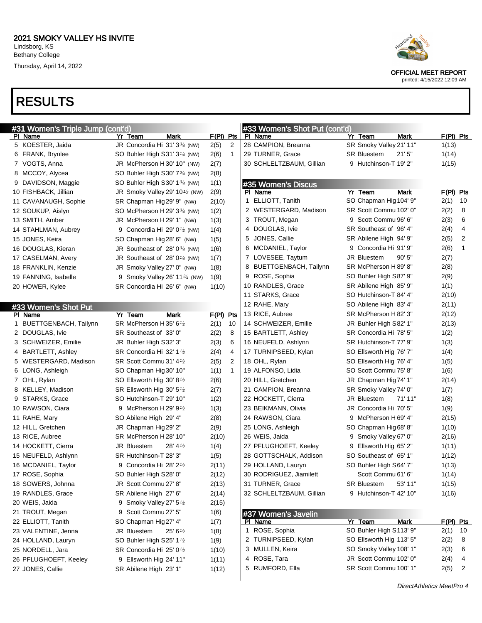#### RESULTS





OFFICIAL MEET REPORT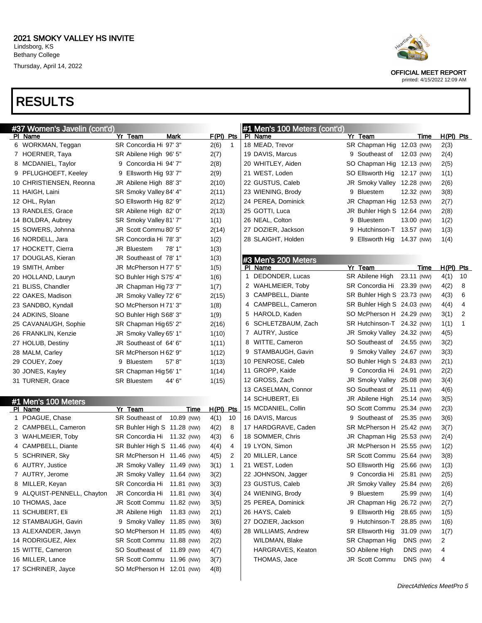# RESULTS



OFFICIAL MEET REPORT

| #37 Women's Javelin (cont'd) |                               |                      | #1 Men's 100 Meters (cont'd) |                             |            |             |
|------------------------------|-------------------------------|----------------------|------------------------------|-----------------------------|------------|-------------|
| PI Name                      | Yr Team<br>Mark               | $F(PI)$ Pts          | PI Name                      | Yr Team                     | Time       | $H(PI)$ Pts |
| 6 WORKMAN, Teggan            | SR Concordia Hi 97' 3"        | 2(6)<br>$\mathbf{1}$ | 18 MEAD, Trevor              | SR Chapman Hig 12.03 (NW)   |            | 2(3)        |
| 7 HOERNER, Taya              | SR Abilene High 96' 5"        | 2(7)                 | 19 DAVIS, Marcus             | 9 Southeast of              | 12.03 (NW) | 2(4)        |
| 8 MCDANIEL, Taylor           | 9 Concordia Hi 94' 7"         | 2(8)                 | 20 WHITLEY, Aiden            | SO Chapman Hig 12.13 (NW)   |            | 2(5)        |
| 9 PFLUGHOEFT, Keeley         | 9 Ellsworth Hig 93' 7"        | 2(9)                 | 21 WEST, Loden               | SO Ellsworth Hig            | 12.17 (NW) | 1(1)        |
| 10 CHRISTIENSEN, Reonna      | JR Abilene High 88' 3"        | 2(10)                | 22 GUSTUS, Caleb             | JR Smoky Valley 12.28 (NW)  |            | 2(6)        |
| 11 HAIGH, Laini              | SR Smoky Valley 84' 4"        | 2(11)                | 23 WIENING, Brody            | Bluestem<br>9               | 12.32 (NW) | 3(8)        |
| 12 OHL, Rylan                | SO Ellsworth Hig 82' 9"       | 2(12)                | 24 PEREA, Dominick           | JR Chapman Hig 12.53 (NW)   |            | 2(7)        |
| 13 RANDLES, Grace            | SR Abilene High 82' 0"        | 2(13)                | 25 GOTTI, Luca               | JR Buhler High S 12.64 (NW) |            | 2(8)        |
| 14 BOLDRA, Aubrey            | SR Smoky Valley 81' 7"        | 1(1)                 | 26 NEAL, Colton              | Bluestem<br>9               | 13.00 (NW) | 1(2)        |
| 15 SOWERS, Johnna            | JR Scott Commu 80' 5"         | 2(14)                | 27 DOZIER, Jackson           | 9 Hutchinson-T 13.57 (NW)   |            | 1(3)        |
| 16 NORDELL, Jara             | SR Concordia Hi 78' 3"        | 1(2)                 | 28 SLAIGHT, Holden           | 9 Ellsworth Hig             | 14.37 (NW) | 1(4)        |
| 17 HOCKETT, Cierra           | 78' 1"<br>JR Bluestem         | 1(3)                 |                              |                             |            |             |
| 17 DOUGLAS, Kieran           | JR Southeast of 78' 1"        | 1(3)                 | #3 Men's 200 Meters          |                             |            |             |
| 19 SMITH, Amber              | JR McPherson H77' 5"          | 1(5)                 | PI Name                      | Yr Team                     | Time       | H(PI) Pts   |
| 20 HOLLAND, Lauryn           | SO Buhler High S75' 4"        | 1(6)                 | 1 DEDONDER, Lucas            | SR Abilene High             | 23.11 (NW) | 4(1)<br>10  |
| 21 BLISS, Chandler           | JR Chapman Hig 73' 7"         | 1(7)                 | 2 WAHLMEIER, Toby            | SR Concordia Hi 23.39 (NW)  |            | 4(2)<br>8   |
| 22 OAKES, Madison            | JR Smoky Valley 72' 6"        | 2(15)                | 3 CAMPBELL, Diante           | SR Buhler High S 23.73 (NW) |            | 6<br>4(3)   |
| 23 SANDBO, Kyndall           | SO McPherson H71' 3"          | 1(8)                 | 4 CAMPBELL, Cameron          | SR Buhler High S 24.03 (NW) |            | 4<br>4(4)   |
| 24 ADKINS, Sloane            | SO Buhler High S68' 3"        | 1(9)                 | 5 HAROLD, Kaden              | SO McPherson H 24.29 (NW)   |            | 2<br>3(1)   |
| 25 CAVANAUGH, Sophie         | SR Chapman Hig 65' 2"         | 2(16)                | 6 SCHLETZBAUM, Zach          | SR Hutchinson-T 24.32 (NW)  |            | 1<br>1(1)   |
| 26 FRANKLIN, Kenzie          | JR Smoky Valley 65' 1"        | 1(10)                | 7 AUTRY, Justice             | JR Smoky Valley 24.32 (NW)  |            | 4(5)        |
| 27 HOLUB, Destiny            | JR Southeast of 64' 6"        | 1(11)                | 8 WITTE, Cameron             | SO Southeast of 24.55 (NW)  |            | 3(2)        |
| 28 MALM, Carley              | SR McPherson H62' 9"          | 1(12)                | 9 STAMBAUGH, Gavin           | 9 Smoky Valley 24.67 (NW)   |            | 3(3)        |
| 29 COUEY, Zoey               | 57'8"<br>9 Bluestem           | 1(13)                | 10 PENROSE, Caleb            | SO Buhler High S 24.83 (NW) |            | 2(1)        |
| 30 JONES, Kayley             | SR Chapman Hig 56' 1"         | 1(14)                | 11 GROPP, Kaide              | 9 Concordia Hi 24.91 (NW)   |            | 2(2)        |
| 31 TURNER, Grace             | 44' 6"<br><b>SR Bluestem</b>  | 1(15)                | 12 GROSS, Zach               | JR Smoky Valley 25.08 (NW)  |            | 3(4)        |
|                              |                               |                      | 13 CASELMAN, Connor          | SO Southeast of             | 25.11 (NW) | 4(6)        |
| #1 Men's 100 Meters          |                               |                      | 14 SCHUBERT, Eli             | JR Abilene High             | 25.14 (NW) | 3(5)        |
| PI Name                      | Yr Team<br>Time               | $H(PI)$ Pts          | 15 MCDANIEL, Collin          | SO Scott Commu 25.34 (NW)   |            | 2(3)        |
| 1 POAGUE, Chase              | SR Southeast of<br>10.89 (NW) | 4(1)<br>10           | 16 DAVIS, Marcus             | 9 Southeast of              | 25.35 (NW) | 3(6)        |
| 2 CAMPBELL, Cameron          | SR Buhler High S 11.28 (NW)   | 4(2)<br>8            | 17 HARDGRAVE, Caden          | SR McPherson H 25.42 (NW)   |            | 3(7)        |
| 3 WAHLMEIER, Toby            | SR Concordia Hi 11.32 (NW)    | 4(3)<br>6            | 18 SOMMER, Chris             | JR Chapman Hig 25.53 (NW)   |            | 2(4)        |
| 4 CAMPBELL, Diante           | SR Buhler High S 11.46 (NW)   | 4(4)<br>4            | 19 LYON, Simon               | JR McPherson H 25.55 (NW)   |            | 1(2)        |
| 5 SCHRINER, Sky              | SR McPherson H 11.46 (NW)     | 2<br>4(5)            | 20 MILLER, Lance             | SR Scott Commu 25.64 (NW)   |            | 3(8)        |
| 6 AUTRY, Justice             | JR Smoky Valley 11.49 (NW)    | 3(1)<br>1            | 21 WEST, Loden               | SO Ellsworth Hig            | 25.66 (NW) | 1(3)        |
| 7 AUTRY, Jerome              | JR Smoky Valley 11.64 (NW)    | 3(2)                 | 22 JOHNSON, Jagger           | 9 Concordia Hi 25.81 (NW)   |            | 2(5)        |
| 8 MILLER, Keyan              | SR Concordia Hi 11.81 (NW)    | 3(3)                 | 23 GUSTUS, Caleb             | JR Smoky Valley 25.84 (NW)  |            | 2(6)        |
| 9 ALQUIST-PENNELL, Chayton   | JR Concordia Hi 11.81 (NW)    | 3(4)                 | 24 WIENING, Brody            | 9 Bluestem                  | 25.99 (NW) | 1(4)        |
| 10 THOMAS, Jace              | JR Scott Commu 11.82 (NW)     | 3(5)                 | 25 PEREA, Dominick           | JR Chapman Hig 26.72 (NW)   |            | 2(7)        |
| 11 SCHUBERT, Eli             | JR Abilene High 11.83 (NW)    | 2(1)                 | 26 HAYS, Caleb               | 9 Ellsworth Hig             | 28.65 (NW) | 1(5)        |
| 12 STAMBAUGH, Gavin          | 9 Smoky Valley 11.85 (NW)     | 3(6)                 | 27 DOZIER, Jackson           | 9 Hutchinson-T 28.85 (NW)   |            | 1(6)        |
| 13 ALEXANDER, Javyn          | SO McPherson H 11.85 (NW)     | 4(6)                 | 28 WILLIAMS, Andrew          | SR Ellsworth Hig            | 31.09 (NW) | 1(7)        |
| 14 RODRIGUEZ, Alex           | SR Scott Commu 11.88 (NW)     | 2(2)                 | WILDMAN, Blake               | SR Chapman Hig              | DNS (NW)   | 2           |
| 15 WITTE, Cameron            | SO Southeast of 11.89 (NW)    | 4(7)                 | HARGRAVES, Keaton            | SO Abilene High             | DNS (NW)   | 4           |
| 16 MILLER, Lance             | SR Scott Commu 11.96 (NW)     | 3(7)                 | THOMAS, Jace                 | <b>JR Scott Commu</b>       | DNS (NW)   | 4           |
| 17 SCHRINER, Jayce           | SO McPherson H 12.01 (NW)     | 4(8)                 |                              |                             |            |             |
|                              |                               |                      |                              |                             |            |             |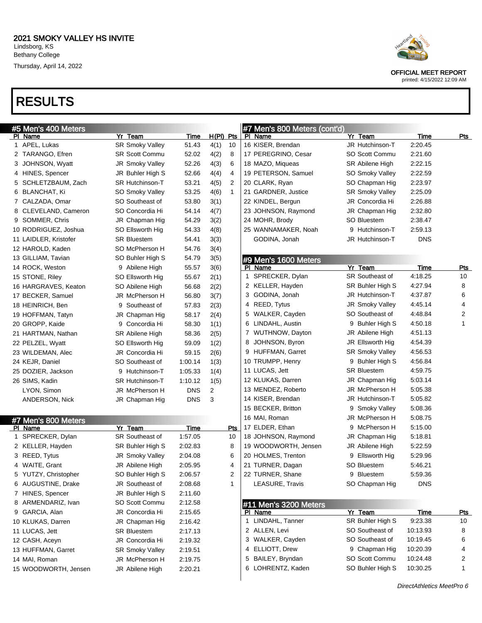Thursday, April 14, 2022

# RESULTS

| #5 Men's 400 Meters                   |                                   |                    |             |                         | #7 Men's 800 Meters (cont'd)           |                                    |                      |            |
|---------------------------------------|-----------------------------------|--------------------|-------------|-------------------------|----------------------------------------|------------------------------------|----------------------|------------|
| PI Name                               | Yr Team                           | Time               | $H(PI)$ Pts |                         | PI Name                                | Yr Team                            | <b>Time</b>          | Pts        |
| 1 APEL, Lukas                         | <b>SR Smoky Valley</b>            | 51.43              | 4(1)        | 10                      | 16 KISER, Brendan                      | JR Hutchinson-T                    | 2:20.45              |            |
| 2 TARANGO, Efren                      | <b>SR Scott Commu</b>             | 52.02              | 4(2)        | 8                       | 17 PEREGRINO, Cesar                    | <b>SO Scott Commu</b>              | 2:21.60              |            |
| 3 JOHNSON, Wyatt                      | <b>JR Smoky Valley</b>            | 52.26              | 4(3)        | 6                       | 18 MAZO, Miqueas                       | SR Abilene High                    | 2:22.15              |            |
| 4 HINES, Spencer                      | JR Buhler High S                  | 52.66              | 4(4)        | 4                       | 19 PETERSON, Samuel                    | SO Smoky Valley                    | 2:22.59              |            |
| 5 SCHLETZBAUM, Zach                   | <b>SR Hutchinson-T</b>            | 53.21              | 4(5)        | $\overline{2}$          | 20 CLARK, Ryan                         | SO Chapman Hig                     | 2:23.97              |            |
| 6 BLANCHAT, Ki                        | SO Smoky Valley                   | 53.25              | 4(6)        | $\mathbf{1}$            | 21 GARDNER, Justice                    | <b>SR Smoky Valley</b>             | 2:25.09              |            |
| 7 CALZADA, Omar                       | SO Southeast of                   | 53.80              | 3(1)        |                         | 22 KINDEL, Bergun                      | JR Concordia Hi                    | 2:26.88              |            |
| 8 CLEVELAND, Cameron                  | SO Concordia Hi                   | 54.14              | 4(7)        |                         | 23 JOHNSON, Raymond                    | JR Chapman Hig                     | 2:32.80              |            |
| 9 SOMMER, Chris                       | JR Chapman Hig                    | 54.29              | 3(2)        |                         | 24 MOHR, Brody                         | <b>SO Bluestem</b>                 | 2:38.47              |            |
| 10 RODRIGUEZ, Joshua                  | SO Ellsworth Hig                  | 54.33              | 4(8)        |                         | 25 WANNAMAKER, Noah                    | 9 Hutchinson-T                     | 2:59.13              |            |
| 11 LAIDLER, Kristofer                 | <b>SR Bluestem</b>                | 54.41              | 3(3)        |                         | GODINA, Jonah                          | JR Hutchinson-T                    | <b>DNS</b>           |            |
| 12 HAROLD, Kaden                      | SO McPherson H                    | 54.76              | 3(4)        |                         |                                        |                                    |                      |            |
| 13 GILLIAM, Tavian                    | SO Buhler High S                  | 54.79              | 3(5)        |                         | #9 Men's 1600 Meters                   |                                    |                      |            |
| 14 ROCK, Weston                       | 9 Abilene High                    | 55.57              | 3(6)        |                         | PI Name                                | Yr Team                            | <b>Time</b>          | <b>Pts</b> |
| 15 STONE, Riley                       | SO Ellsworth Hig                  | 55.67              | 2(1)        |                         | 1 SPRECKER, Dylan                      | <b>SR Southeast of</b>             | 4:18.25              | 10         |
| 16 HARGRAVES, Keaton                  | SO Abilene High                   | 56.68              | 2(2)        |                         | 2 KELLER, Hayden                       | SR Buhler High S                   | 4:27.94              | 8          |
| 17 BECKER, Samuel                     | JR McPherson H                    | 56.80              | 3(7)        |                         | 3 GODINA, Jonah                        | JR Hutchinson-T                    | 4:37.87              | 6          |
| 18 HEINRICH, Ben                      | 9 Southeast of                    | 57.83              | 2(3)        |                         | 4 REED, Tytus                          | JR Smoky Valley                    | 4:45.14              | 4          |
| 19 HOFFMAN, Tatyn                     | JR Chapman Hig                    | 58.17              | 2(4)        |                         | 5 WALKER, Cayden                       | SO Southeast of                    | 4:48.84              | 2          |
| 20 GROPP, Kaide                       | 9 Concordia Hi                    | 58.30              | 1(1)        |                         | 6 LINDAHL, Austin                      | 9 Buhler High S                    | 4:50.18              | 1          |
| 21 HARTMAN, Nathan                    | SR Abilene High                   | 58.36              | 2(5)        |                         | 7 WUTHNOW, Dayton                      | JR Abilene High                    | 4:51.13              |            |
| 22 PELZEL, Wyatt                      | SO Ellsworth Hig                  | 59.09              | 1(2)        |                         | 8 JOHNSON, Byron                       | JR Ellsworth Hig                   | 4:54.39              |            |
| 23 WILDEMAN, Alec                     | JR Concordia Hi                   | 59.15              | 2(6)        |                         | 9 HUFFMAN, Garret                      | <b>SR Smoky Valley</b>             | 4:56.53              |            |
| 24 KEJR, Daniel                       | SO Southeast of                   | 1:00.14            | 1(3)        |                         | 10 TRUMPP, Henry                       | 9 Buhler High S                    | 4:56.84              |            |
| 25 DOZIER, Jackson                    | 9 Hutchinson-T                    | 1:05.33            | 1(4)        |                         | 11 LUCAS, Jett                         | <b>SR Bluestem</b>                 | 4:59.75              |            |
| 26 SIMS, Kadin                        | <b>SR Hutchinson-T</b>            | 1:10.12            | 1(5)        |                         | 12 KLUKAS, Darren                      | JR Chapman Hig                     | 5:03.14              |            |
| LYON, Simon                           | JR McPherson H                    | <b>DNS</b>         | 2           |                         | 13 MENDEZ, Roberto                     | JR McPherson H                     | 5:05.38              |            |
| ANDERSON, Nick                        | JR Chapman Hig                    | <b>DNS</b>         | 3           |                         | 14 KISER, Brendan                      | JR Hutchinson-T                    | 5:05.82              |            |
|                                       |                                   |                    |             |                         | 15 BECKER, Britton                     | 9 Smoky Valley                     | 5:08.36              |            |
|                                       |                                   |                    |             |                         | 16 MAI, Roman                          | JR McPherson H                     | 5:08.75              |            |
| #7 Men's 800 Meters<br>PI Name        | Yr Team                           | <b>Time</b>        |             | <b>Pts</b>              | 17 ELDER, Ethan                        | McPherson H                        | 5:15.00              |            |
| 1 SPRECKER, Dylan                     | <b>SR Southeast of</b>            | 1:57.05            |             | 10                      | 18 JOHNSON, Raymond                    | JR Chapman Hig                     | 5:18.81              |            |
| 2 KELLER, Hayden                      | <b>SR Buhler High S</b>           | 2:02.83            |             | 8                       | 19 WOODWORTH, Jensen                   | JR Abilene High                    | 5:22.59              |            |
| 3 REED, Tytus                         | <b>JR Smoky Valley</b>            | 2:04.08            |             | 6                       | 20 HOLMES, Trenton                     | 9 Ellsworth Hig                    | 5:29.96              |            |
| 4 WAITE, Grant                        | JR Abilene High                   | 2:05.95            |             | 4                       | 21 TURNER, Dagan                       | SO Bluestem                        | 5:46.21              |            |
| 5 YUTZY, Christopher                  | SO Buhler High S                  | 2:06.57            |             | $\overline{\mathbf{c}}$ | 22 TURNER, Shane                       | 9 Bluestem                         | 5:59.36              |            |
|                                       |                                   |                    |             | $\mathbf{1}$            |                                        |                                    |                      |            |
| 6 AUGUSTINE, Drake                    | JR Southeast of                   | 2:08.68            |             |                         | LEASURE, Travis                        | SO Chapman Hig                     | <b>DNS</b>           |            |
| 7 HINES, Spencer                      | JR Buhler High S                  | 2:11.60            |             |                         |                                        |                                    |                      |            |
| 8 ARMENDARIZ, Ivan                    | SO Scott Commu                    | 2:12.58            |             |                         | #11 Men's 3200 Meters                  |                                    |                      |            |
| 9 GARCIA, Alan                        | JR Concordia Hi                   | 2:15.65            |             |                         | PI Name<br>1 LINDAHL, Tanner           | Yr Team<br>SR Buhler High S        | <b>Time</b>          | <u>Pts</u> |
| 10 KLUKAS, Darren                     | JR Chapman Hig                    | 2:16.42            |             |                         |                                        |                                    | 9:23.38<br>10:13.93  | 10<br>8    |
| 11 LUCAS, Jett                        | <b>SR Bluestem</b>                | 2:17.13            |             |                         | 2 ALLEN, Levi                          | SO Southeast of                    |                      |            |
| 12 CASH, Aceyn                        | JR Concordia Hi                   | 2:19.32            |             |                         | 3 WALKER, Cayden                       | SO Southeast of                    | 10:19.45             | 6          |
| 13 HUFFMAN, Garret                    | <b>SR Smoky Valley</b>            | 2:19.51            |             |                         | 4 ELLIOTT, Drew                        | 9 Chapman Hig                      | 10:20.39             | 4          |
| 14 MAI, Roman<br>15 WOODWORTH, Jensen | JR McPherson H<br>JR Abilene High | 2:19.75<br>2:20.21 |             |                         | 5 BAILEY, Bryndan<br>6 LOHRENTZ, Kaden | SO Scott Commu<br>SO Buhler High S | 10:24.48<br>10:30.25 | 2<br>1     |

| #7 Men's 800 Meters      |                        |         |     |
|--------------------------|------------------------|---------|-----|
| Name<br>PI.              | Yr Team                | Time    | Pts |
| SPRECKER, Dylan<br>1     | <b>SR Southeast of</b> | 1:57.05 | 10  |
| 2 KELLER, Hayden         | SR Buhler High S       | 2:02.83 | 8   |
| REED, Tytus<br>3         | <b>JR Smoky Valley</b> | 2:04.08 | 6   |
| WAITE, Grant<br>4        | JR Abilene High        | 2:05.95 | 4   |
| YUTZY, Christopher<br>5. | SO Buhler High S       | 2:06.57 | 2   |
| AUGUSTINE, Drake<br>6    | JR Southeast of        | 2:08.68 | 1   |
| HINES, Spencer<br>7      | JR Buhler High S       | 2:11.60 |     |
| ARMENDARIZ, Ivan<br>8    | SO Scott Commu         | 2:12.58 |     |
| GARCIA, Alan<br>9        | JR Concordia Hi        | 2:15.65 |     |
| 10 KLUKAS, Darren        | JR Chapman Hig         | 2:16.42 |     |
| 11 LUCAS, Jett           | <b>SR Bluestem</b>     | 2:17.13 |     |
| 12 CASH, Aceyn           | JR Concordia Hi        | 2:19.32 |     |
| 13 HUFFMAN, Garret       | <b>SR Smoky Valley</b> | 2:19.51 |     |
| 14 MAI, Roman            | JR McPherson H         | 2:19.75 |     |
| 15 WOODWORTH, Jensen     | JR Abilene High        | 2:20.21 |     |
|                          |                        |         |     |



OFFICIAL MEET REPORT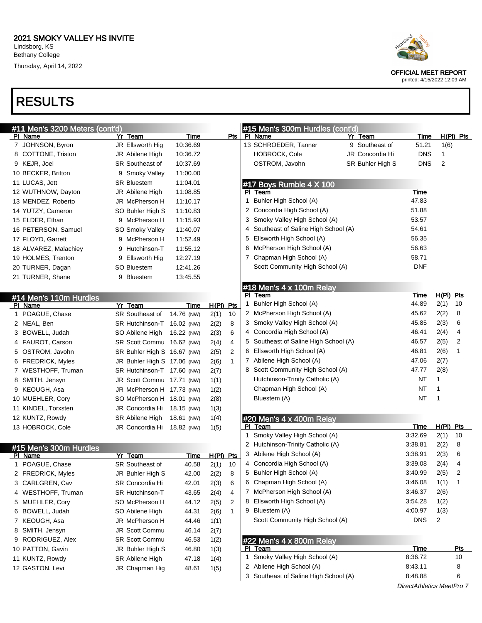#11 Men's 3200 Meters (cont'd)

7 JOHNSON, Byron JR Ellsworth Hig 8 COTTONE, Triston JR Abilene High 9 KEJR, Joel SR Southeast of 10 BECKER, Britton 9 Smoky Valley 11 LUCAS, Jett SR Bluestem 12 WUTHNOW, Dayton JR Abilene High 13 MENDEZ, Roberto JR McPherson H 14 YUTZY, Cameron SO Buhler High S 15 ELDER, Ethan 9 McPherson H 16 PETERSON, Samuel SO Smoky Valley 17 FLOYD, Garrett 9 McPherson H 18 ALVAREZ, Malachiey 9 Hutchinson-T 19 HOLMES, Trenton 9 Ellsworth Hig 20 TURNER, Dagan SO Bluestem 21 TURNER, Shane 9 Bluestem

Thursday, April 14, 2022

#14 Men's 110m Hurdles

#15 Men's 300m Hurdles

PI Name Yr Team 1 POAGUE, Chase SR Southeast of 2 FREDRICK, Myles JR Buhler High S 3 CARLGREN, Cav SR Concordia Hi 4 WESTHOFF, Truman SR Hutchinson-T 5 MUEHLER, Cory SO McPherson H 6 BOWELL, Judah SO Abilene High 7 KEOUGH, Asa JR McPherson H 8 SMITH, Jensyn JR Scott Commu 9 RODRIGUEZ, Alex SR Scott Commu 10 PATTON, Gavin JR Buhler High S 11 KUNTZ, Rowdy SR Abilene High 12 GASTON, Levi JR Chapman Hig

PI Name Yr Team 1 POAGUE, Chase SR Southeast of 2 NEAL, Ben SR Hutchinson-T 3 BOWELL, Judah SO Abilene High 4 FAUROT, Carson SR Scott Commu 5 OSTROM, Javohn SR Buhler High S 6 FREDRICK, Myles JR Buhler High S 7 WESTHOFF, Truman SR Hutchinson-T 8 SMITH, Jensyn JR Scott Commu 9 KEOUGH, Asa JR McPherson H 10 MUEHLER, Cory SO McPherson H 11 KINDEL, Torxsten JR Concordia Hi 12 KUNTZ, Rowdy SR Abilene High 13 HOBROCK, Cole JR Concordia Hi

#### RESULTS

PI Name

|              |             |             |                  | #15 Men's 300m Hurdles (cont'd)       |    |    |           |             |
|--------------|-------------|-------------|------------------|---------------------------------------|----|----|-----------|-------------|
|              | $H(PI)$ Pts | Time        | Yr Team          | Pts   PI Name                         |    |    |           | Time        |
|              | 1(6)        | 51.21       | 9 Southeast of   | 13 SCHROEDER, Tanner                  |    |    |           | 10:36.69    |
|              | 1           | DNS.        | JR Concordia Hi  | HOBROCK, Cole                         |    |    |           | 10:36.72    |
|              | 2           | DNS.        | SR Buhler High S | OSTROM, Javohn                        |    |    |           | 10:37.69    |
|              |             |             |                  |                                       |    |    |           | 11:00.00    |
|              |             |             |                  | #17 Boys Rumble 4 X 100               |    |    |           | 11:04.01    |
|              |             | Time        |                  | PI Team                               |    |    |           | 11:08.85    |
|              |             | 47.83       |                  | 1 Buhler High School (A)              |    |    |           | 11:10.17    |
|              |             | 51.88       |                  | 2 Concordia High School (A)           |    |    |           | 11:10.83    |
|              |             | 53.57       |                  | 3 Smoky Valley High School (A)        |    |    |           | 11:15.93    |
|              |             | 54.61       |                  | 4 Southeast of Saline High School (A) |    |    |           | 11:40.07    |
|              |             | 56.35       |                  | 5 Ellsworth High School (A)           |    |    |           | 11:52.49    |
|              |             | 56.63       |                  | 6 McPherson High School (A)           |    |    |           | 11:55.12    |
|              |             | 58.71       |                  | 7 Chapman High School (A)             |    |    |           | 12:27.19    |
|              |             | DNF         |                  | Scott Community High School (A)       |    |    |           | 12:41.26    |
|              |             |             |                  |                                       |    |    |           | 13:45.55    |
|              |             |             |                  | #18 Men's 4 x 100m Relay              |    |    |           |             |
|              | $H(PI)$ Pts | Time        |                  | PI Team                               |    |    |           |             |
| 10           | 2(1)        | 44.89       |                  | 1 Buhler High School (A)              |    |    | H(PI) Pts | <u>Time</u> |
| 8            | 2(2)        | 45.62       |                  | 2 McPherson High School (A)           |    | 10 | 2(1)      | 14.76 (NW)  |
| 6            | 2(3)        | 45.85       |                  | 3 Smoky Valley High School (A)        |    | 8  | 2(2)      | 16.02 (NW)  |
| 4            | 2(4)        | 46.41       |                  | 4 Concordia High School (A)           |    | 6  | 2(3)      | 16.22 (NW)  |
| 2            | 2(5)        | 46.57       |                  | 5 Southeast of Saline High School (A) |    | 4  | 2(4)      | 16.62 (NW)  |
| 1            | 2(6)        | 46.81       |                  | 6 Ellsworth High School (A)           |    | 2  | 2(5)      | 16.67 (NW)  |
|              | 2(7)        | 47.06       |                  | 7 Abilene High School (A)             |    | 1  | 2(6)      | 17.06 (NW)  |
|              | 2(8)        | 47.77       |                  | 8 Scott Community High School (A)     |    |    | 2(7)      | 17.60 (NW)  |
|              | 1           | NT          |                  | Hutchinson-Trinity Catholic (A)       |    |    | 1(1)      | 17.71 (NW)  |
|              | 1           | NT          |                  | Chapman High School (A)               |    |    | 1(2)      | 17.73 (NW)  |
|              | 1           | NΤ          |                  | Bluestem (A)                          |    |    | 2(8)      | 18.01 (NW)  |
|              |             |             |                  |                                       |    |    | 1(3)      | 18.15 (NW)  |
|              |             |             |                  | #20 Men's 4 x 400m Relay              |    |    | 1(4)      | 18.61 (NW)  |
|              | $H(PI)$ Pts | Time        |                  | PI Team                               |    |    | 1(5)      | 18.82 (NW)  |
| 10           | 2(1)        | 3:32.69     |                  | 1 Smoky Valley High School (A)        |    |    |           |             |
| 8            | 2(2)        | 3:38.81     |                  | 2 Hutchinson-Trinity Catholic (A)     |    |    |           |             |
| 6            | 2(3)        | 3:38.91     |                  | 3 Abilene High School (A)             |    |    | H(PI) Pts | <u>Time</u> |
| 4            | 2(4)        | 3:39.08     |                  | 4 Concordia High School (A)           |    | 10 | 2(1)      | 40.58       |
| 2            | 2(5)        | 3:40.99     |                  | 5 Buhler High School (A)              |    | 8  | 2(2)      | 42.00       |
| $\mathbf{1}$ | 1(1)        | 3:46.08     |                  | Chapman High School (A)               | 6  | 6  | 2(3)      | 42.01       |
|              | 2(6)        | 3:46.37     |                  | McPherson High School (A)             | 7  | 4  | 2(4)      | 43.65       |
|              | 1(2)        | 3:54.28     |                  | Ellsworth High School (A)             | 8  | 2  | 2(5)      | 44.12       |
|              | 1(3)        | 4:00.97     |                  | 9 Bluestem (A)                        |    | 1  | 2(6)      | 44.31       |
|              | 2           | <b>DNS</b>  |                  | Scott Community High School (A)       |    |    | 1(1)      | 44.46       |
|              |             |             |                  |                                       |    |    | 2(7)      | 46.14       |
|              |             |             |                  | #22 Men's 4 x 800m Relay              |    |    | 1(2)      | 46.53       |
| Pts          |             | <b>Time</b> |                  | Team                                  | ΡI |    | 1(3)      | 46.80       |
| 10           |             | 8:36.72     |                  | 1 Smoky Valley High School (A)        |    |    | 1(4)      | 47.18       |
| 8            |             | 8:43.11     |                  | 2 Abilene High School (A)             |    |    | 1(5)      | 48.61       |
| 6            |             | 8:48.88     |                  | 3 Southeast of Saline High School (A) |    |    |           |             |



OFFICIAL MEET REPORT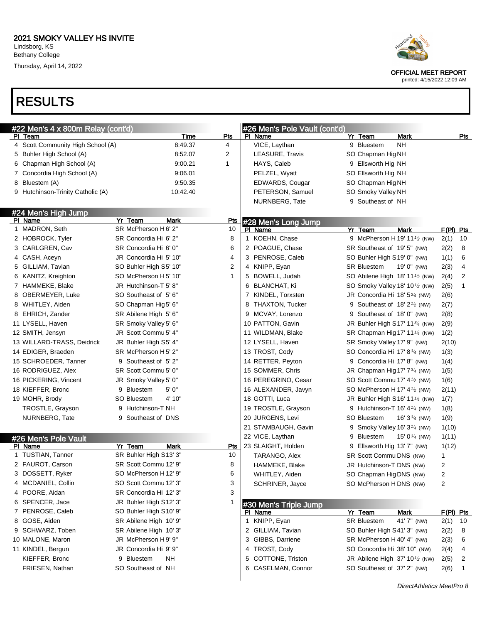# RESULTS

| #22 Men's 4 x 800m Relay (cont'd) |                        |              | #26 Men's Pole Vault (cont'd)    |                          |                                                         |             |     |
|-----------------------------------|------------------------|--------------|----------------------------------|--------------------------|---------------------------------------------------------|-------------|-----|
| PI Team                           |                        | Time<br>Pts  | PI Name                          | Yr Team                  | Mark                                                    |             | Pts |
| 4 Scott Community High School (A) | 8:49.37                | 4            | VICE, Laythan                    | 9 Bluestem               | <b>NH</b>                                               |             |     |
| 5 Buhler High School (A)          | 8:52.07                | 2            | LEASURE, Travis                  | SO Chapman Hig NH        |                                                         |             |     |
| 6 Chapman High School (A)         | 9:00.21                | $\mathbf{1}$ | HAYS, Caleb                      | 9 Ellsworth Hig NH       |                                                         |             |     |
| 7 Concordia High School (A)       | 9:06.01                |              | PELZEL, Wyatt                    | SO Ellsworth Hig NH      |                                                         |             |     |
| 8 Bluestem (A)                    | 9:50.35                |              | EDWARDS, Cougar                  | SO Chapman Hig NH        |                                                         |             |     |
| 9 Hutchinson-Trinity Catholic (A) | 10:42.40               |              | PETERSON, Samuel                 | SO Smoky Valley NH       |                                                         |             |     |
|                                   |                        |              | NURNBERG, Tate                   | 9 Southeast of NH        |                                                         |             |     |
| #24 Men's High Jump               |                        |              |                                  |                          |                                                         |             |     |
| PI Name                           | Yr Team<br>Mark        | <u>Pts</u>   | #28 Men's Long Jump              |                          |                                                         |             |     |
| 1 MADRON, Seth                    | SR McPherson H 6' 2"   | 10           | PI Name                          | Yr Team                  | <b>Mark</b>                                             | $F(PI)$ Pts |     |
| 2 HOBROCK, Tyler                  | SR Concordia Hi 6' 2"  | 8            | 1 KOEHN, Chase                   |                          | 9 McPherson H 19' 11 <sup>1</sup> / <sub>2</sub> (NW)   | 2(1)        | 10  |
| 3 CARLGREN, Cav                   | SR Concordia Hi 6' 0"  | 6            | 2 POAGUE, Chase                  |                          | SR Southeast of 19' 5" (NW)                             | 2(2)        | 8   |
| 4 CASH, Aceyn                     | JR Concordia Hi 5' 10" | 4            | 3 PENROSE, Caleb                 |                          | SO Buhler High S19' 0" (NW)                             | 1(1)        | 6   |
| 5 GILLIAM, Tavian                 | SO Buhler High S5' 10" | 2            | 4 KNIPP, Eyan                    | SR Bluestem              | 19' 0" (NW)                                             | 2(3)        | 4   |
| 6 KANITZ, Kreighton               | SO McPherson H 5' 10"  | 1            | BOWELL, Judah<br>5               |                          | SO Abilene High 18' 11 <sup>1</sup> /2 (NW)             | 2(4)        | 2   |
| 7 HAMMEKE, Blake                  | JR Hutchinson-T 5' 8"  |              | 6 BLANCHAT, Ki                   |                          | SO Smoky Valley 18' 10 <sup>1</sup> / <sub>2</sub> (NW) | 2(5)        | 1   |
| 8 OBERMEYER, Luke                 | SO Southeast of 5'6"   |              | 7 KINDEL, Torxsten               |                          | JR Concordia Hi 18' 534 (NW)                            | 2(6)        |     |
| 8 WHITLEY, Aiden                  | SO Chapman Hig 5' 6"   |              | 8 THAXTON, Tucker                |                          | 9 Southeast of $18'2'$ (NW)                             | 2(7)        |     |
| 8 EHRICH, Zander                  | SR Abilene High 5' 6"  |              | 9 MCVAY, Lorenzo                 |                          | 9 Southeast of 18'0" (NW)                               | 2(8)        |     |
| 11 LYSELL, Haven                  | SR Smoky Valley 5' 6"  |              | 10 PATTON, Gavin                 |                          | JR Buhler High S17' 11 <sup>3/4</sup> (NW)              | 2(9)        |     |
| 12 SMITH, Jensyn                  | JR Scott Commu 5' 4"   |              | 11 WILDMAN, Blake                |                          | SR Chapman Hig 17' 11 <sup>1/4</sup> (NW)               | 1(2)        |     |
| 13 WILLARD-TRASS, Deidrick        | JR Buhler High S5' 4"  |              | 12 LYSELL, Haven                 |                          | SR Smoky Valley 17' 9" (NW)                             | 2(10)       |     |
| 14 EDIGER, Braeden                | SR McPherson H5' 2"    |              | 13 TROST, Cody                   |                          | SO Concordia Hi 17' 8 <sup>3/4</sup> (NW)               | 1(3)        |     |
| 15 SCHROEDER, Tanner              | 9 Southeast of 5'2"    |              | 14 RETTER, Peyton                |                          | 9 Concordia Hi 17' 8" (NW)                              | 1(4)        |     |
| 16 RODRIGUEZ, Alex                | SR Scott Commu 5' 0"   |              | 15 SOMMER, Chris                 |                          | JR Chapman Hig 17' 7 <sup>3/4</sup> (NW)                | 1(5)        |     |
| 16 PICKERING, Vincent             | JR Smoky Valley 5' 0"  |              | 16 PEREGRINO, Cesar              |                          | SO Scott Commu 17' 41/2 (NW)                            | 1(6)        |     |
| 18 KIEFFER, Bronc                 | 9 Bluestem<br>5' 0"    |              | 16 ALEXANDER, Javyn              |                          | SO McPherson H 17' $4\frac{1}{2}$ (NW)                  | 2(11)       |     |
| 19 MOHR, Brody                    | 4' 10"<br>SO Bluestem  |              | 18 GOTTI, Luca                   |                          | JR Buhler High S16' 11 $\frac{1}{4}$ (NW)               | 1(7)        |     |
| TROSTLE, Grayson                  | 9 Hutchinson-T NH      |              | 19 TROSTLE, Grayson              |                          | 9 Hutchinson-T 16' 4 $\frac{1}{4}$ (NW)                 | 1(8)        |     |
| NURNBERG, Tate                    | 9 Southeast of DNS     |              | 20 JURGENS, Levi                 | SO Bluestem              | 16' 3 $\frac{3}{4}$ (NW)                                | 1(9)        |     |
|                                   |                        |              | 21 STAMBAUGH, Gavin              |                          | 9 Smoky Valley 16' 3 <sup>1/4</sup> (NW)                | 1(10)       |     |
|                                   |                        |              | 22 VICE, Laythan                 | 9 Bluestem               | 15' 0 $\frac{3}{4}$ (NW)                                | 1(11)       |     |
| #26 Men's Pole Vault<br>PI Name   | Yr Team<br>Mark        | <u>Pts</u>   | 23 SLAIGHT, Holden               |                          | 9 Ellsworth Hig 13' 7" (NW)                             | 1(12)       |     |
| 1 TUSTIAN, Tanner                 | SR Buhler High S13' 3" | 10           | TARANGO, Alex                    | SR Scott Commu DNS (NW)  |                                                         | 1           |     |
| 2 FAUROT, Carson                  | SR Scott Commu 12' 9"  | 8            | HAMMEKE, Blake                   | JR Hutchinson-T DNS (NW) |                                                         | 2           |     |
| 3 DOSSETT, Ryker                  | SO McPherson H 12' 9"  | 6            | WHITLEY, Aiden                   | SO Chapman Hig DNS (NW)  |                                                         | 2           |     |
| 4 MCDANIEL, Collin                | SO Scott Commu 12' 3"  | 3            | SCHRINER, Jayce                  | SO McPherson HDNS (NW)   |                                                         | 2           |     |
| 4 POORE, Aidan                    | SR Concordia Hi 12' 3" | 3            |                                  |                          |                                                         |             |     |
| 6 SPENCER, Jace                   | JR Buhler High S12' 3" |              |                                  |                          |                                                         |             |     |
| 7 PENROSE, Caleb                  | SO Buhler High S10' 9" |              | #30 Men's Triple Jump<br>PI Name | Yr Team                  | Mark                                                    | F(PI) Pts   |     |
| 8 GOSE, Aiden                     | SR Abilene High 10' 9" |              | 1 KNIPP, Eyan                    | <b>SR Bluestem</b>       | 41' 7" (NW)                                             | 2(1)        | 10  |
| 9 SCHWARZ, Toben                  | SR Abilene High 10' 3" |              | 2 GILLIAM, Tavian                |                          | SO Buhler High S41' 3" (NW)                             | 2(2)        | 8   |
| 10 MALONE, Maron                  | JR McPherson H9' 9"    |              | 3 GIBBS, Darriene                |                          | SR McPherson H 40' 4" (NW)                              | 2(3)        | 6   |
| 11 KINDEL, Bergun                 | JR Concordia Hi 9' 9"  |              | 4 TROST, Cody                    |                          | SO Concordia Hi 38' 10" (NW)                            | 2(4)        | 4   |
| KIEFFER, Bronc                    | 9 Bluestem<br>NΗ       |              | 5 COTTONE, Triston               |                          | JR Abilene High 37' 10 <sup>1</sup> /2 (NW)             | 2(5)        | 2   |
| FRIESEN, Nathan                   | SO Southeast of NH     |              | 6 CASELMAN, Connor               |                          | SO Southeast of 37' 2" (NW)                             |             | 1   |
|                                   |                        |              |                                  |                          |                                                         | 2(6)        |     |
|                                   |                        |              |                                  |                          |                                                         |             |     |

DirectAthletics MeetPro 8



OFFICIAL MEET REPORT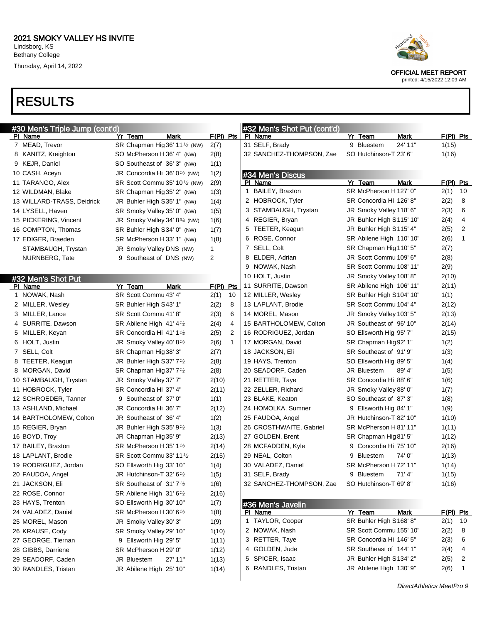# RESULTS



OFFICIAL MEET REPORT

| #30 Men's Triple Jump (cont'd) |                                                        |                        | #32 Men's Shot Put (cont'd) |                              |                      |
|--------------------------------|--------------------------------------------------------|------------------------|-----------------------------|------------------------------|----------------------|
| PI Name                        | Yr Team<br><b>Mark</b>                                 | $F(PI)$ Pts            | PI Name                     | Yr Team<br><b>Mark</b>       | $F(PI)$ Pts          |
| 7 MEAD, Trevor                 | SR Chapman Hig 36' 11 <sup>1/2</sup> (NW)              | 2(7)                   | 31 SELF, Brady              | 24' 11"<br>9 Bluestem        | 1(15)                |
| 8 KANITZ, Kreighton            | SO McPherson H 36' 4" (NW)                             | 2(8)                   | 32 SANCHEZ-THOMPSON, Zae    | SO Hutchinson-T 23' 6"       | 1(16)                |
| 9 KEJR, Daniel                 | SO Southeast of 36' 3" (NW)                            | 1(1)                   |                             |                              |                      |
| 10 CASH, Aceyn                 | JR Concordia Hi 36' 0 <sup><math>1/2</math></sup> (NW) | 1(2)                   | #34 Men's Discus            |                              |                      |
| 11 TARANGO, Alex               | SR Scott Commu 35' 10 <sup>1</sup> / <sub>2</sub> (NW) | 2(9)                   | PI Name                     | Yr Team<br><b>Mark</b>       | $F(PI)$ Pts          |
| 12 WILDMAN, Blake              | SR Chapman Hig 35' 2" (NW)                             | 1(3)                   | 1 BAILEY, Braxton           | SR McPherson H 127' 0"       | 10<br>2(1)           |
| 13 WILLARD-TRASS, Deidrick     | JR Buhler High S35' 1" (NW)                            | 1(4)                   | 2 HOBROCK, Tyler            | SR Concordia Hi 126' 8"      | 8<br>2(2)            |
| 14 LYSELL, Haven               | SR Smoky Valley 35' 0" (NW)                            | 1(5)                   | 3 STAMBAUGH, Trystan        | JR Smoky Valley 118' 6"      | 6<br>2(3)            |
| 15 PICKERING, Vincent          | JR Smoky Valley 34' 8 <sup>3</sup> /4 (NW)             | 1(6)                   | 4 REGIER, Bryan             | JR Buhler High S115' 10"     | 2(4)<br>4            |
| 16 COMPTON, Thomas             | SR Buhler High S34' 0" (NW)                            | 1(7)                   | 5 TEETER, Keagun            | JR Buhler High S115' 4"      | 2<br>2(5)            |
| 17 EDIGER, Braeden             | SR McPherson H 33' 1" (NW)                             | 1(8)                   | 6 ROSE, Connor              | SR Abilene High 110' 10"     | $\mathbf{1}$<br>2(6) |
| STAMBAUGH, Trystan             | JR Smoky Valley DNS (NW)                               | 1                      | 7 SELL, Colt                | SR Chapman Hig 110' 5"       | 2(7)                 |
| NURNBERG, Tate                 | 9 Southeast of DNS (NW)                                | $\overline{2}$         | 8 ELDER, Adrian             | JR Scott Commu 109' 6"       | 2(8)                 |
|                                |                                                        |                        | 9 NOWAK, Nash               | SR Scott Commu 108' 11"      | 2(9)                 |
| #32 Men's Shot Put             |                                                        |                        | 10 HOLT, Justin             | JR Smoky Valley 108' 8"      | 2(10)                |
| PI Name                        | Yr Team<br>Mark                                        | F(PI) Pts              | 11 SURRITE, Dawson          | SR Abilene High 106' 11"     | 2(11)                |
| 1 NOWAK, Nash                  | SR Scott Commu 43' 4"                                  | 2(1)<br>10             | 12 MILLER, Wesley           | SR Buhler High S104' 10"     | 1(1)                 |
| 2 MILLER, Wesley               | SR Buhler High S43' 1"                                 | 8<br>2(2)              | 13 LAPLANT, Brodie          | SR Scott Commu 104' 4"       | 2(12)                |
| 3 MILLER, Lance                | SR Scott Commu 41' 8"                                  | 6<br>2(3)              | 14 MOREL, Mason             | JR Smoky Valley 103' 5"      | 2(13)                |
| 4 SURRITE, Dawson              | SR Abilene High 41' 4 <sup>1</sup> /2                  | 2(4)<br>4              | 15 BARTHOLOMEW, Colton      | JR Southeast of 96' 10"      | 2(14)                |
| 5 MILLER, Keyan                | SR Concordia Hi 41' 11/2                               | $\overline{2}$<br>2(5) | 16 RODRIGUEZ, Jordan        | SO Ellsworth Hig 95' 7"      | 2(15)                |
| 6 HOLT, Justin                 | JR Smoky Valley 40' 8 <sup>1</sup> /2                  | 2(6)<br>$\mathbf{1}$   | 17 MORGAN, David            | SR Chapman Hig 92' 1"        | 1(2)                 |
| 7 SELL, Colt                   | SR Chapman Hig 38' 3"                                  | 2(7)                   | 18 JACKSON, Eli             | SR Southeast of 91'9"        | 1(3)                 |
| 8 TEETER, Keagun               | JR Buhler High S37' 7 <sup>1</sup> /2                  | 2(8)                   | 19 HAYS, Trenton            | SO Ellsworth Hig 89' 5"      | 1(4)                 |
| 8 MORGAN, David                | SR Chapman Hig 37' 7 <sup>1</sup> /2                   | 2(8)                   | 20 SEADORF, Caden           | <b>JR Bluestem</b><br>89' 4" | 1(5)                 |
| 10 STAMBAUGH, Trystan          | JR Smoky Valley 37' 7"                                 | 2(10)                  | 21 RETTER, Taye             | SR Concordia Hi 88' 6"       | 1(6)                 |
| 11 HOBROCK, Tyler              | SR Concordia Hi 37' 4"                                 | 2(11)                  | 22 ZELLER, Richard          | JR Smoky Valley 88' 0"       | 1(7)                 |
| 12 SCHROEDER, Tanner           | 9 Southeast of 37' 0"                                  | 1(1)                   | 23 BLAKE, Keaton            | SO Southeast of 87' 3"       | 1(8)                 |
| 13 ASHLAND, Michael            | JR Concordia Hi 36' 7"                                 | 2(12)                  | 24 HOMOLKA, Sumner          | 9 Ellsworth Hig 84' 1"       | 1(9)                 |
| 14 BARTHOLOMEW, Colton         | JR Southeast of 36'4"                                  | 1(2)                   | 25 FAUDOA, Angel            | JR Hutchinson-T 82' 10"      | 1(10)                |
| 15 REGIER, Bryan               | JR Buhler High S35' 9 <sup>1</sup> /2                  | 1(3)                   | 26 CROSTHWAITE, Gabriel     | SR McPherson H 81' 11"       | 1(11)                |
| 16 BOYD, Troy                  | JR Chapman Hig 35' 9"                                  | 2(13)                  | 27 GOLDEN, Brent            | SR Chapman Hig 81' 5"        | 1(12)                |
| 17 BAILEY, Braxton             | SR McPherson H35' 11/2                                 | 2(14)                  | 28 MCFADDEN, Kyle           | 9 Concordia Hi 75' 10"       | 2(16)                |
| 18 LAPLANT, Brodie             | SR Scott Commu 33' 11 <sup>1</sup> /2                  | 2(15)                  | 29 NEAL, Colton             | 74'0"<br>9 Bluestem          | 1(13)                |
| 19 RODRIGUEZ, Jordan           | SO Ellsworth Hig 33' 10"                               | 1(4)                   | 30 VALADEZ, Daniel          | SR McPherson H72' 11"        | 1(14)                |
| 20 FAUDOA, Angel               | JR Hutchinson-T 32' 6 $\frac{1}{2}$                    | 1(5)                   | 31 SELF, Brady              | 9 Bluestem<br>71' 4"         | 1(15)                |
| 21 JACKSON, Eli                | SR Southeast of 31'7 <sup>1</sup> / <sub>2</sub>       | 1(6)                   | 32 SANCHEZ-THOMPSON, Zae    | SO Hutchinson-T 69' 8"       | 1(16)                |
| 22 ROSE, Connor                | SR Abilene High 31' 6 <sup>1</sup> /2                  | 2(16)                  |                             |                              |                      |
| 23 HAYS, Trenton               | SO Ellsworth Hig 30' 10"                               | 1(7)                   | #36 Men's Javelin           |                              |                      |
| 24 VALADEZ, Daniel             | SR McPherson H 30' 6 <sup>1</sup> /2                   | 1(8)                   | PI Name                     | Yr Team<br>Mark              | F(PI) Pts            |
| 25 MOREL, Mason                | JR Smoky Valley 30' 3"                                 | 1(9)                   | 1 TAYLOR, Cooper            | SR Buhler High S168' 8"      | 2(1)<br>10           |
| 26 KRAUSE, Cody                | SR Smoky Valley 29' 10"                                | 1(10)                  | 2 NOWAK, Nash               | SR Scott Commu 155' 10"      | 2(2)<br>8            |
| 27 GEORGE, Tiernan             | 9 Ellsworth Hig 29' 5"                                 | 1(11)                  | 3 RETTER, Taye              | SR Concordia Hi 146' 5"      | 2(3)<br>6            |
| 28 GIBBS, Darriene             | SR McPherson H 29' 0"                                  | 1(12)                  | 4 GOLDEN, Jude              | SR Southeast of 144' 1"      | 2(4)<br>4            |
| 29 SEADORF, Caden              | 27' 11"<br><b>JR Bluestem</b>                          | 1(13)                  | 5 SPICER, Isaac             | JR Buhler High S134' 2"      | 2(5)<br>2            |
| 30 RANDLES, Tristan            | JR Abilene High 25' 10"                                | 1(14)                  | 6 RANDLES, Tristan          | JR Abilene High 130' 9"      | 2(6)<br>1            |
|                                |                                                        |                        |                             |                              |                      |